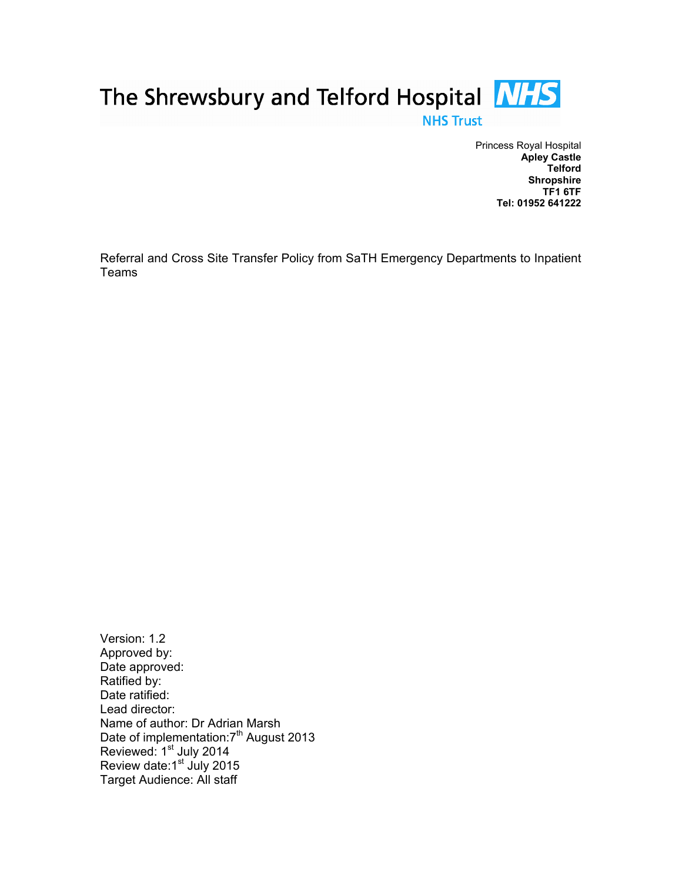

Princess Royal Hospital Apley Castle Telford **Shropshire** TF1 6TF Tel: 01952 641222

Referral and Cross Site Transfer Policy from SaTH Emergency Departments to Inpatient Teams

Version: 1.2 Approved by: Date approved: Ratified by: Date ratified: Lead director: Name of author: Dr Adrian Marsh Date of implementation:7<sup>th</sup> August 2013 Reviewed: 1<sup>st</sup> July 2014 Review date:1<sup>st</sup> July 2015 Target Audience: All staff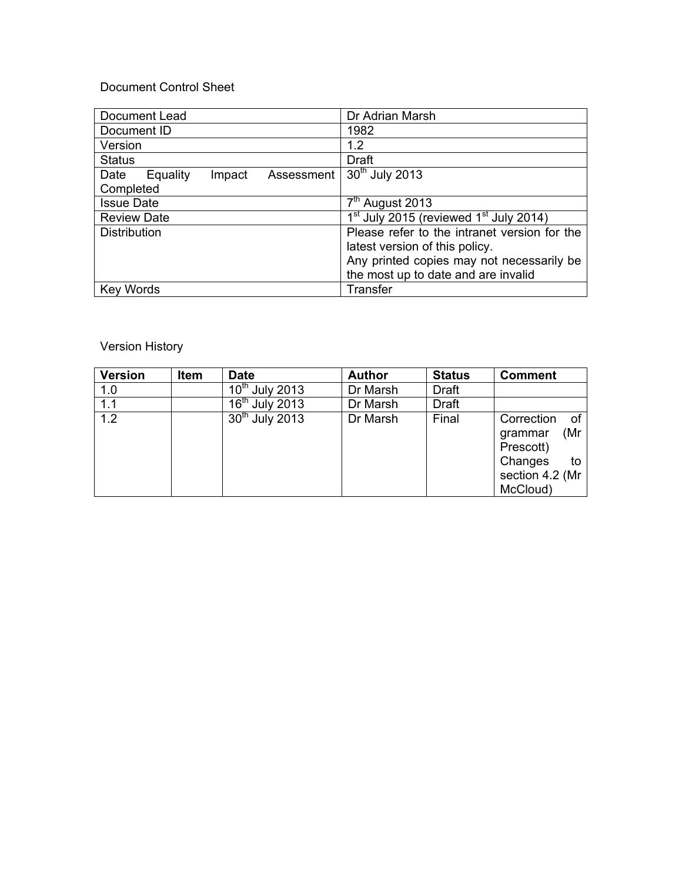# Document Control Sheet

| Document Lead                            | Dr Adrian Marsh                                                |  |
|------------------------------------------|----------------------------------------------------------------|--|
| Document ID                              | 1982                                                           |  |
| Version                                  | 1.2                                                            |  |
| <b>Status</b>                            | Draft                                                          |  |
| Date<br>Equality<br>Impact<br>Assessment | 30 <sup>th</sup> July 2013                                     |  |
| Completed                                |                                                                |  |
| <b>Issue Date</b>                        | $7th$ August 2013                                              |  |
| <b>Review Date</b>                       | 1 <sup>st</sup> July 2015 (reviewed 1 <sup>st</sup> July 2014) |  |
| <b>Distribution</b>                      | Please refer to the intranet version for the                   |  |
|                                          | latest version of this policy.                                 |  |
|                                          | Any printed copies may not necessarily be                      |  |
|                                          | the most up to date and are invalid                            |  |
| <b>Key Words</b>                         | Transfer                                                       |  |

# Version History

| <b>Version</b> | <b>Item</b> | Date             | <b>Author</b> | <b>Status</b> | <b>Comment</b>                                                                                  |
|----------------|-------------|------------------|---------------|---------------|-------------------------------------------------------------------------------------------------|
| 1.0            |             | $10th$ July 2013 | Dr Marsh      | <b>Draft</b>  |                                                                                                 |
| 1.1            |             | $16th$ July 2013 | Dr Marsh      | <b>Draft</b>  |                                                                                                 |
| 1.2            |             | $30th$ July 2013 | Dr Marsh      | Final         | Correction<br>of<br>(Mr<br>grammar<br>Prescott)<br>Changes<br>to<br>section 4.2 (Mr<br>McCloud) |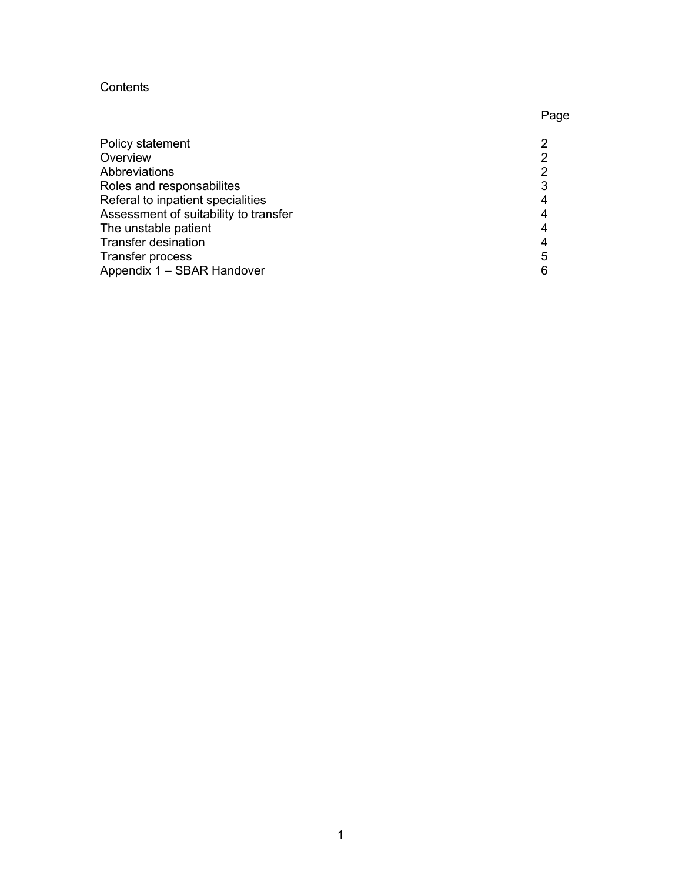## **Contents**

| Policy statement                      |   |
|---------------------------------------|---|
| Overview                              |   |
| Abbreviations                         | າ |
| Roles and responsabilites             |   |
| Referal to inpatient specialities     |   |
| Assessment of suitability to transfer |   |
| The unstable patient                  |   |
| <b>Transfer desination</b>            |   |
| Transfer process                      | 5 |
| Appendix 1 - SBAR Handover            |   |

Page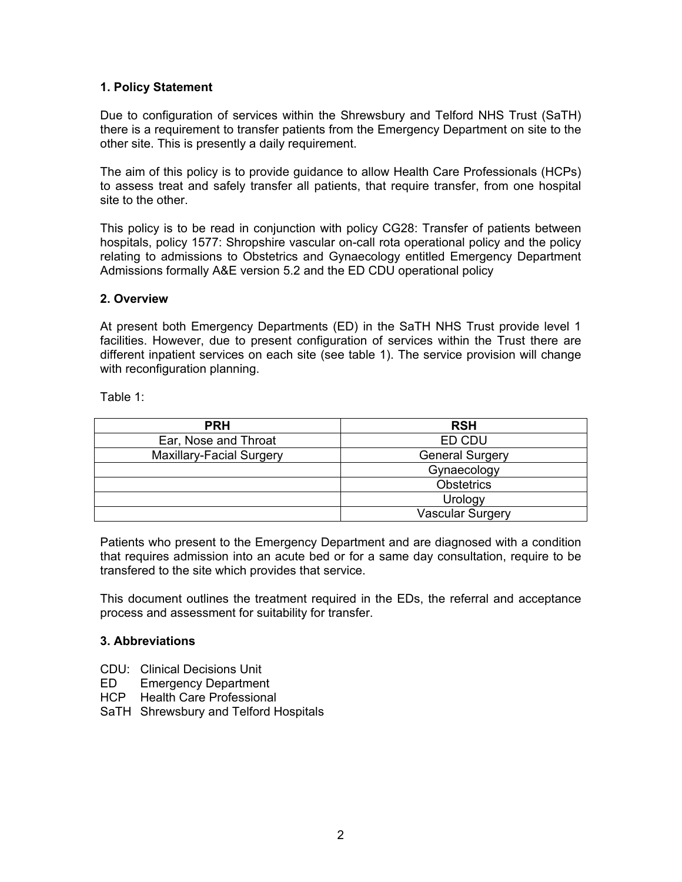#### 1. Policy Statement

Due to configuration of services within the Shrewsbury and Telford NHS Trust (SaTH) there is a requirement to transfer patients from the Emergency Department on site to the other site. This is presently a daily requirement.

The aim of this policy is to provide guidance to allow Health Care Professionals (HCPs) to assess treat and safely transfer all patients, that require transfer, from one hospital site to the other.

This policy is to be read in conjunction with policy CG28: Transfer of patients between hospitals, policy 1577: Shropshire vascular on-call rota operational policy and the policy relating to admissions to Obstetrics and Gynaecology entitled Emergency Department Admissions formally A&E version 5.2 and the ED CDU operational policy

#### 2. Overview

At present both Emergency Departments (ED) in the SaTH NHS Trust provide level 1 facilities. However, due to present configuration of services within the Trust there are different inpatient services on each site (see table 1). The service provision will change with reconfiguration planning.

Table 1:

| <b>PRH</b>               | <b>RSH</b>              |
|--------------------------|-------------------------|
| Ear, Nose and Throat     | ED CDU                  |
| Maxillary-Facial Surgery | <b>General Surgery</b>  |
|                          | Gynaecology             |
|                          | <b>Obstetrics</b>       |
|                          | Urology                 |
|                          | <b>Vascular Surgery</b> |

Patients who present to the Emergency Department and are diagnosed with a condition that requires admission into an acute bed or for a same day consultation, require to be transfered to the site which provides that service.

This document outlines the treatment required in the EDs, the referral and acceptance process and assessment for suitability for transfer.

#### 3. Abbreviations

- CDU: Clinical Decisions Unit
- ED Emergency Department
- HCP Health Care Professional
- SaTH Shrewsbury and Telford Hospitals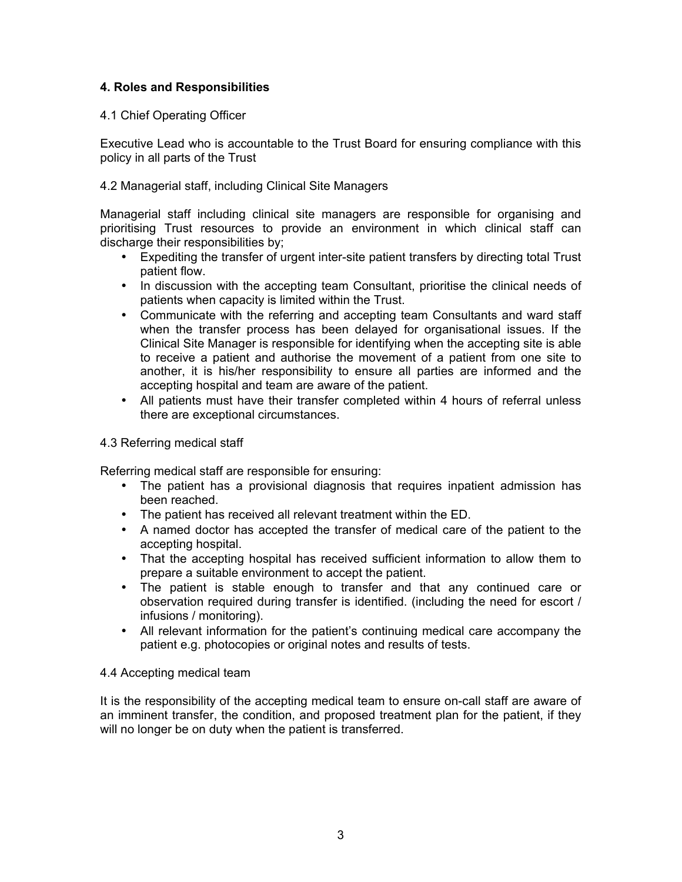## 4. Roles and Responsibilities

## 4.1 Chief Operating Officer

Executive Lead who is accountable to the Trust Board for ensuring compliance with this policy in all parts of the Trust

## 4.2 Managerial staff, including Clinical Site Managers

Managerial staff including clinical site managers are responsible for organising and prioritising Trust resources to provide an environment in which clinical staff can discharge their responsibilities by;

- Expediting the transfer of urgent inter-site patient transfers by directing total Trust patient flow.
- In discussion with the accepting team Consultant, prioritise the clinical needs of patients when capacity is limited within the Trust.
- Communicate with the referring and accepting team Consultants and ward staff when the transfer process has been delayed for organisational issues. If the Clinical Site Manager is responsible for identifying when the accepting site is able to receive a patient and authorise the movement of a patient from one site to another, it is his/her responsibility to ensure all parties are informed and the accepting hospital and team are aware of the patient.
- All patients must have their transfer completed within 4 hours of referral unless there are exceptional circumstances.

#### 4.3 Referring medical staff

Referring medical staff are responsible for ensuring:

- The patient has a provisional diagnosis that requires inpatient admission has been reached.
- The patient has received all relevant treatment within the ED.
- A named doctor has accepted the transfer of medical care of the patient to the accepting hospital.
- That the accepting hospital has received sufficient information to allow them to prepare a suitable environment to accept the patient.
- The patient is stable enough to transfer and that any continued care or observation required during transfer is identified. (including the need for escort / infusions / monitoring).
- All relevant information for the patient's continuing medical care accompany the patient e.g. photocopies or original notes and results of tests.

#### 4.4 Accepting medical team

It is the responsibility of the accepting medical team to ensure on-call staff are aware of an imminent transfer, the condition, and proposed treatment plan for the patient, if they will no longer be on duty when the patient is transferred.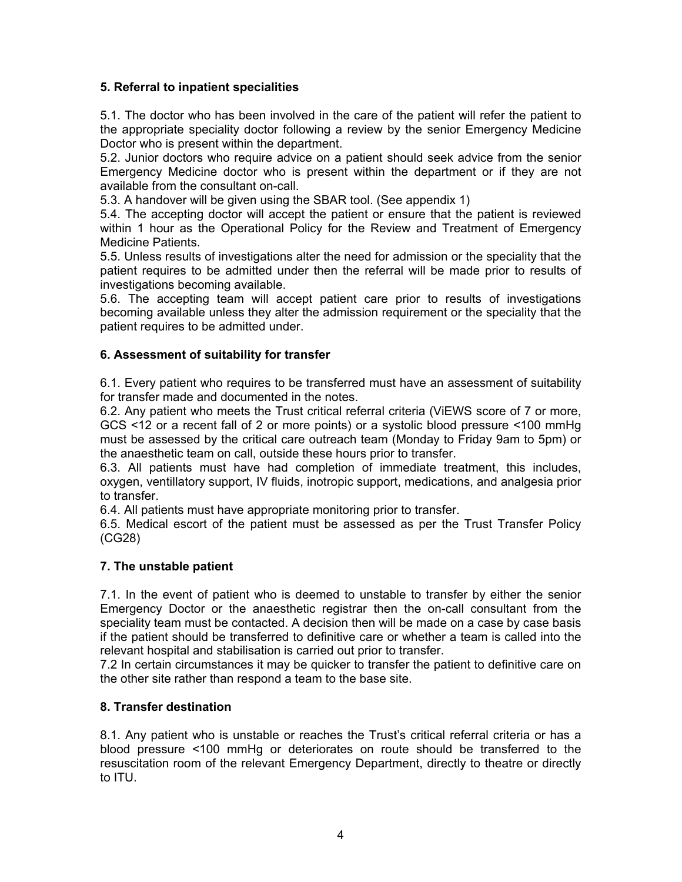## 5. Referral to inpatient specialities

5.1. The doctor who has been involved in the care of the patient will refer the patient to the appropriate speciality doctor following a review by the senior Emergency Medicine Doctor who is present within the department.

5.2. Junior doctors who require advice on a patient should seek advice from the senior Emergency Medicine doctor who is present within the department or if they are not available from the consultant on-call.

5.3. A handover will be given using the SBAR tool. (See appendix 1)

5.4. The accepting doctor will accept the patient or ensure that the patient is reviewed within 1 hour as the Operational Policy for the Review and Treatment of Emergency Medicine Patients.

5.5. Unless results of investigations alter the need for admission or the speciality that the patient requires to be admitted under then the referral will be made prior to results of investigations becoming available.

5.6. The accepting team will accept patient care prior to results of investigations becoming available unless they alter the admission requirement or the speciality that the patient requires to be admitted under.

#### 6. Assessment of suitability for transfer

6.1. Every patient who requires to be transferred must have an assessment of suitability for transfer made and documented in the notes.

6.2. Any patient who meets the Trust critical referral criteria (ViEWS score of 7 or more, GCS <12 or a recent fall of 2 or more points) or a systolic blood pressure <100 mmHg must be assessed by the critical care outreach team (Monday to Friday 9am to 5pm) or the anaesthetic team on call, outside these hours prior to transfer.

6.3. All patients must have had completion of immediate treatment, this includes, oxygen, ventillatory support, IV fluids, inotropic support, medications, and analgesia prior to transfer.

6.4. All patients must have appropriate monitoring prior to transfer.

6.5. Medical escort of the patient must be assessed as per the Trust Transfer Policy (CG28)

#### 7. The unstable patient

7.1. In the event of patient who is deemed to unstable to transfer by either the senior Emergency Doctor or the anaesthetic registrar then the on-call consultant from the speciality team must be contacted. A decision then will be made on a case by case basis if the patient should be transferred to definitive care or whether a team is called into the relevant hospital and stabilisation is carried out prior to transfer.

7.2 In certain circumstances it may be quicker to transfer the patient to definitive care on the other site rather than respond a team to the base site.

#### 8. Transfer destination

8.1. Any patient who is unstable or reaches the Trust's critical referral criteria or has a blood pressure <100 mmHg or deteriorates on route should be transferred to the resuscitation room of the relevant Emergency Department, directly to theatre or directly to ITU.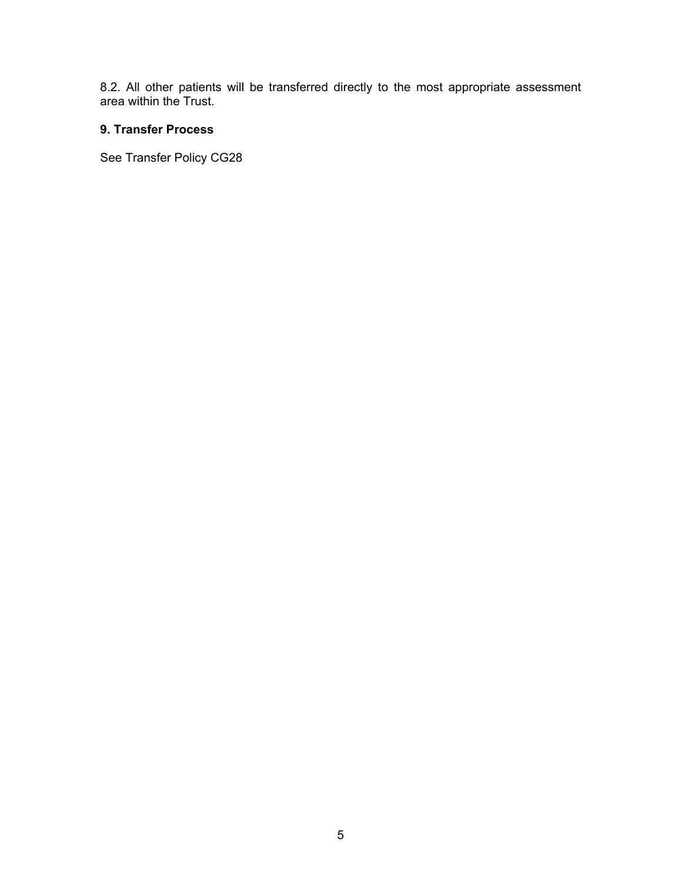8.2. All other patients will be transferred directly to the most appropriate assessment area within the Trust.

## 9. Transfer Process

See Transfer Policy CG28